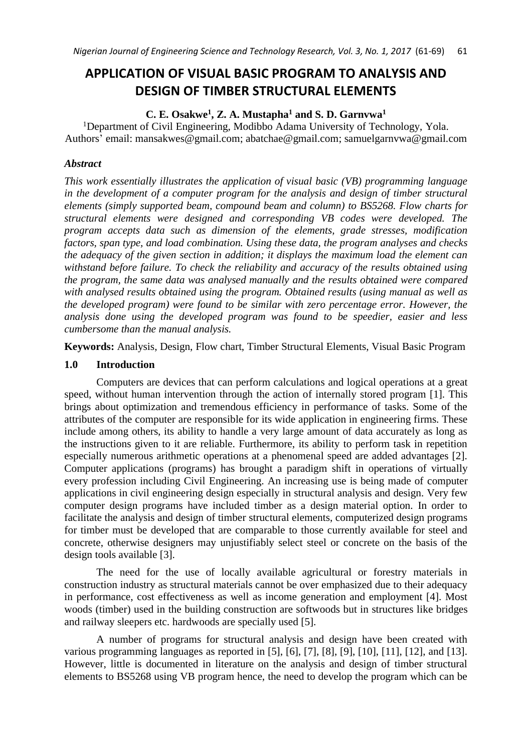# **APPLICATION OF VISUAL BASIC PROGRAM TO ANALYSIS AND DESIGN OF TIMBER STRUCTURAL ELEMENTS**

## **C. E. Osakwe<sup>1</sup> , Z. A. Mustapha<sup>1</sup> and S. D. Garnvwa<sup>1</sup>**

<sup>1</sup>Department of Civil Engineering, Modibbo Adama University of Technology, Yola. Authors' email: [mansakwes@gmail.com;](mailto:mansakwes@gmail.com) [abatchae@gmail.com;](mailto:abatchae@gmail.com) [samuelgarnvwa@gmail.com](mailto:samuelgarnvwa@gmail.com)

#### *Abstract*

*This work essentially illustrates the application of visual basic (VB) programming language in the development of a computer program for the analysis and design of timber structural elements (simply supported beam, compound beam and column) to BS5268. Flow charts for structural elements were designed and corresponding VB codes were developed. The program accepts data such as dimension of the elements, grade stresses, modification factors, span type, and load combination. Using these data, the program analyses and checks the adequacy of the given section in addition; it displays the maximum load the element can withstand before failure. To check the reliability and accuracy of the results obtained using the program, the same data was analysed manually and the results obtained were compared with analysed results obtained using the program. Obtained results (using manual as well as the developed program) were found to be similar with zero percentage error. However, the analysis done using the developed program was found to be speedier, easier and less cumbersome than the manual analysis.*

**Keywords:** Analysis, Design, Flow chart, Timber Structural Elements, Visual Basic Program

#### **1.0 Introduction**

Computers are devices that can perform calculations and logical operations at a great speed, without human intervention through the action of internally stored program [1]. This brings about optimization and tremendous efficiency in performance of tasks. Some of the attributes of the computer are responsible for its wide application in engineering firms. These include among others, its ability to handle a very large amount of data accurately as long as the instructions given to it are reliable. Furthermore, its ability to perform task in repetition especially numerous arithmetic operations at a phenomenal speed are added advantages [2]. Computer applications (programs) has brought a paradigm shift in operations of virtually every profession including Civil Engineering. An increasing use is being made of computer applications in civil engineering design especially in structural analysis and design. Very few computer design programs have included timber as a design material option. In order to facilitate the analysis and design of timber structural elements, computerized design programs for timber must be developed that are comparable to those currently available for steel and concrete, otherwise designers may unjustifiably select steel or concrete on the basis of the design tools available [3].

The need for the use of locally available agricultural or forestry materials in construction industry as structural materials cannot be over emphasized due to their adequacy in performance, cost effectiveness as well as income generation and employment [4]. Most woods (timber) used in the building construction are softwoods but in structures like bridges and railway sleepers etc. hardwoods are specially used [5].

A number of programs for structural analysis and design have been created with various programming languages as reported in [5], [6], [7], [8], [9], [10], [11], [12], and [13]. However, little is documented in literature on the analysis and design of timber structural elements to BS5268 using VB program hence, the need to develop the program which can be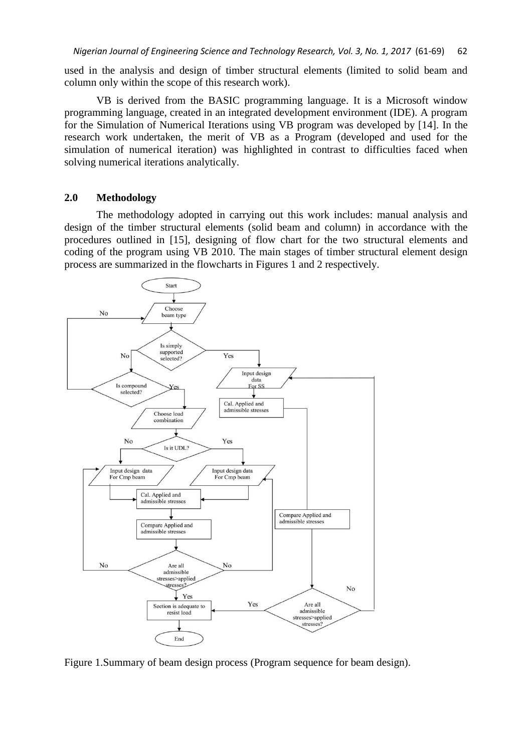used in the analysis and design of timber structural elements (limited to solid beam and column only within the scope of this research work).

VB is derived from the BASIC programming language. It is a Microsoft window programming language, created in an integrated development environment (IDE). A program for the Simulation of Numerical Iterations using VB program was developed by [14]. In the research work undertaken, the merit of VB as a Program (developed and used for the simulation of numerical iteration) was highlighted in contrast to difficulties faced when solving numerical iterations analytically.

#### **2.0 Methodology**

The methodology adopted in carrying out this work includes: manual analysis and design of the timber structural elements (solid beam and column) in accordance with the procedures outlined in [15], designing of flow chart for the two structural elements and coding of the program using VB 2010. The main stages of timber structural element design process are summarized in the flowcharts in Figures 1 and 2 respectively.



Figure 1.Summary of beam design process (Program sequence for beam design).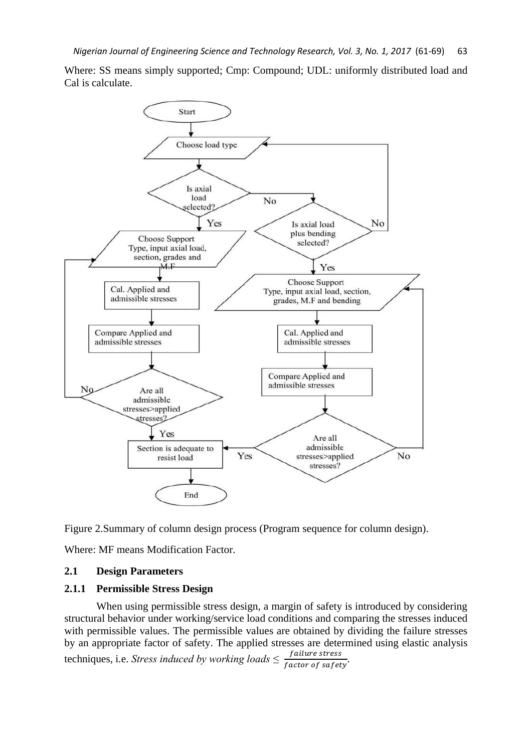Where: SS means simply supported; Cmp: Compound; UDL: uniformly distributed load and Cal is calculate.



Figure 2.Summary of column design process (Program sequence for column design).

Where: MF means Modification Factor.

## **2.1 Design Parameters**

#### **2.1.1 Permissible Stress Design**

When using permissible stress design, a margin of safety is introduced by considering structural behavior under working/service load conditions and comparing the stresses induced with permissible values. The permissible values are obtained by dividing the failure stresses by an appropriate factor of safety. The applied stresses are determined using elastic analysis techniques, i.e. *Stress induced by working loads*  $\leq \frac{failure \ stress}{factor \ of \ safety}$ .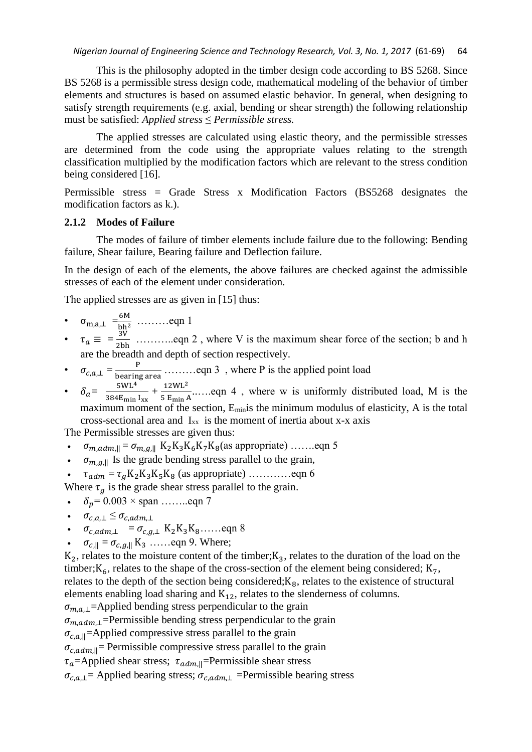This is the philosophy adopted in the timber design code according to BS 5268. Since BS 5268 is a permissible stress design code, mathematical modeling of the behavior of timber elements and structures is based on assumed elastic behavior. In general, when designing to satisfy strength requirements (e.g. axial, bending or shear strength) the following relationship must be satisfied: *Applied stress* ≤ *Permissible stress.*

The applied stresses are calculated using elastic theory, and the permissible stresses are determined from the code using the appropriate values relating to the strength classification multiplied by the modification factors which are relevant to the stress condition being considered [16].

Permissible stress = Grade Stress x Modification Factors (BS5268 designates the modification factors as k.).

#### **2.1.2 Modes of Failure**

The modes of failure of timber elements include failure due to the following: Bending failure, Shear failure, Bearing failure and Deflection failure.

In the design of each of the elements, the above failures are checked against the admissible stresses of each of the element under consideration.

The applied stresses are as given in [15] thus:

- $\sigma_{\text{m,a},\perp} = \frac{6M}{\text{h}h^2}$  $\frac{6m}{bh^2}$  ..........eqn 1
- $\tau_a \equiv \frac{3V}{2bh}$  …… eqn 2, where V is the maximum shear force of the section; b and h are the breadth and depth of section respectively.
- $\sigma_{c,a,\perp} = \frac{P}{\text{being area}}$  ……... eqn 3, where P is the applied point load
- $\delta_a = \frac{5 \text{WL}^4}{384 \text{F}}$  $\frac{5WL^4}{384E_{\text{min}} I_{xx}} + \frac{12WL^2}{5 E_{\text{min}} \rho}$  $\frac{1200 \text{ E}}{5 \text{ E}_{\text{min}} \text{A}}$ ......eqn 4, where w is uniformly distributed load, M is the maximum moment of the section, E<sub>min</sub>is the minimum modulus of elasticity, A is the total cross-sectional area and  $I_{xx}$  is the moment of inertia about x-x axis

The Permissible stresses are given thus:

- $\sigma_{m, \alpha dm, ||} = \sigma_{m, g, ||} K_2K_3K_6K_7K_8$ (as appropriate) ........eqn 5
- $\sigma_{m,g,\parallel}$  Is the grade bending stress parallel to the grain,
- $\tau_{adm} = \tau_a K_2 K_3 K_5 K_8$  (as appropriate) …………eqn 6

Where  $\tau_q$  is the grade shear stress parallel to the grain.

- $\delta_p = 0.003 \times \text{span} \dots \dots \text{eqn}$  7
- $\bullet$   $\sigma_{c,a} \leq \sigma_{c,adm}$
- $\bullet$   $\sigma_{c,adm,\perp} = \sigma_{c,a,\perp} K_2K_3K_8\ldots$ eqn 8
- $\sigma_{c,\parallel} = \sigma_{c,q,\parallel} K_3 \dots$  eqn 9. Where;

 $K_2$ , relates to the moisture content of the timber; $K_3$ , relates to the duration of the load on the timber; $K_6$ , relates to the shape of the cross-section of the element being considered;  $K_7$ , relates to the depth of the section being considered; $K_8$ , relates to the existence of structural elements enabling load sharing and  $K_{12}$ , relates to the slenderness of columns.

 $\sigma_{m,a,\perp}$ =Applied bending stress perpendicular to the grain

 $\sigma_{m,adm,\perp}$ =Permissible bending stress perpendicular to the grain

 $\sigma_{c,a,\parallel}$ =Applied compressive stress parallel to the grain

 $\sigma_{c,adm, \parallel}$  Permissible compressive stress parallel to the grain

 $\tau_a$ =Applied shear stress;  $\tau_{adm,||}$ =Permissible shear stress

 $\sigma_{c,a,\perp}$ = Applied bearing stress;  $\sigma_{c,adm,\perp}$  =Permissible bearing stress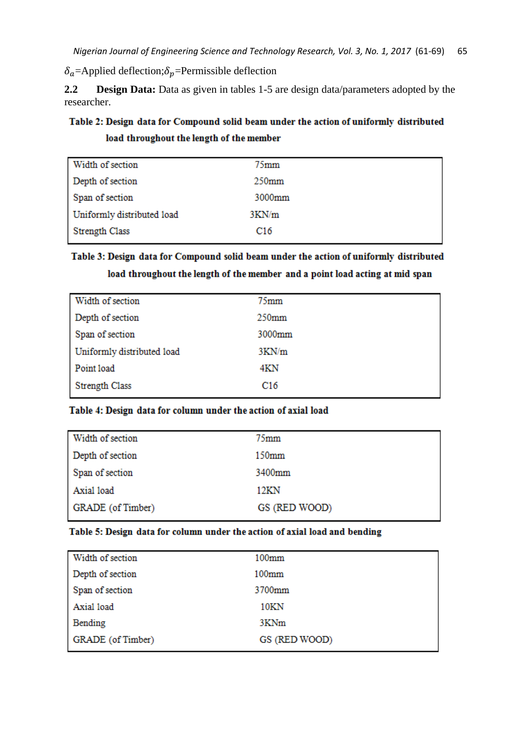$\delta_a$ =Applied deflection; $\delta_p$ =Permissible deflection

**2.2 Design Data:** Data as given in tables 1-5 are design data/parameters adopted by the researcher.

## Table 2: Design data for Compound solid beam under the action of uniformly distributed load throughout the length of the member

| Width of section           | 75 <sub>mm</sub>  |
|----------------------------|-------------------|
| Depth of section           | 250 <sub>mm</sub> |
| Span of section            | 3000mm            |
| Uniformly distributed load | 3KN/m             |
| <b>Strength Class</b>      | C <sub>16</sub>   |

## Table 3: Design data for Compound solid beam under the action of uniformly distributed load throughout the length of the member and a point load acting at mid span

| $75$ mm           |
|-------------------|
| 250 <sub>mm</sub> |
| 3000mm            |
| 3KN/m             |
| 4KN               |
| C <sub>16</sub>   |
|                   |

## Table 4: Design data for column under the action of axial load

| Width of section  | $75$ mm       |
|-------------------|---------------|
| Depth of section  | 150mm         |
| Span of section   | 3400mm        |
| Axial load        | 12KN          |
| GRADE (of Timber) | GS (RED WOOD) |

#### Table 5: Design data for column under the action of axial load and bending

| Width of section  | 100 <sub>mm</sub> |
|-------------------|-------------------|
| Depth of section  | 100 <sub>mm</sub> |
| Span of section   | 3700mm            |
| Axial load        | 10KN              |
| Bending           | 3KNm              |
| GRADE (of Timber) | GS (RED WOOD)     |
|                   |                   |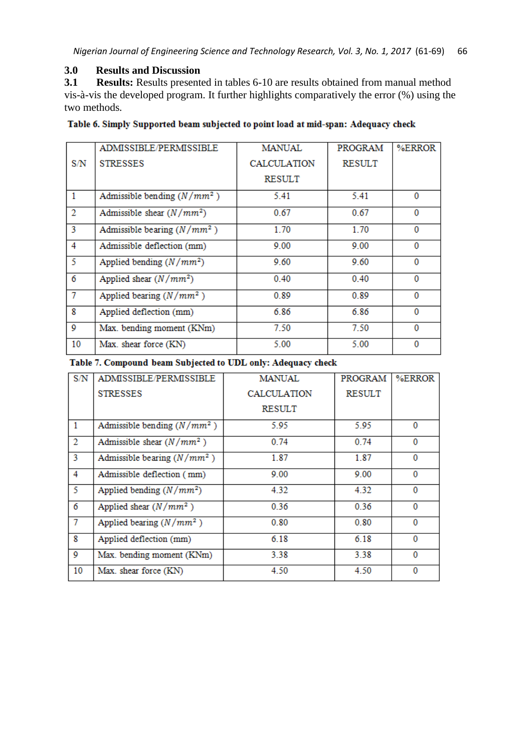## **3.0 Results and Discussion**

**3.1 Results:** Results presented in tables 6-10 are results obtained from manual method vis-à-vis the developed program. It further highlights comparatively the error (%) using the two methods.

## Table 6. Simply Supported beam subjected to point load at mid-span: Adequacy check

|                | ADMISSIBLE/PERMISSIBLE        | <b>MANUAL</b>      | PROGRAM       | %ERROR   |
|----------------|-------------------------------|--------------------|---------------|----------|
| S/N            | <b>STRESSES</b>               | <b>CALCULATION</b> | <b>RESULT</b> |          |
|                |                               | <b>RESULT</b>      |               |          |
| $\mathbf{1}$   | Admissible bending $(N/mm^2)$ | 5.41               | 5.41          | $\Omega$ |
| $\overline{2}$ | Admissible shear $(N/mm^2)$   | 0.67               | 0.67          | 0        |
| 3              | Admissible bearing $(N/mm^2)$ | 1.70               | 1.70          | 0        |
| 4              | Admissible deflection (mm)    | 9.00               | 9.00          | $\bf{0}$ |
| $\overline{5}$ | Applied bending $(N/mm^2)$    | 9.60               | 9.60          | $\bf{0}$ |
| 6              | Applied shear $(N/mm^2)$      | 0.40               | 0.40          | 0        |
| 7              | Applied bearing $(N/mm^2)$    | 0.89               | 0.89          | 0        |
| 8              | Applied deflection (mm)       | 6.86               | 6.86          | $\Omega$ |
| 9              | Max. bending moment (KNm)     | 7.50               | 7.50          | 0        |
| 10             | Max. shear force (KN)         | 5.00               | 5.00          | $\bf{0}$ |

Table 7. Compound beam Subjected to UDL only: Adequacy check

| S/N            | ADMISSIBLE/PERMISSIBLE        | <b>MANUAL</b>      | <b>PROGRAM</b> | %ERROR   |
|----------------|-------------------------------|--------------------|----------------|----------|
|                | <b>STRESSES</b>               | <b>CALCULATION</b> | <b>RESULT</b>  |          |
|                |                               | <b>RESULT</b>      |                |          |
| $\mathbf{1}$   | Admissible bending $(N/mm^2)$ | 5.95               | 5.95           | $\Omega$ |
| $\overline{2}$ | Admissible shear $(N/mm^2)$   | 0.74               | 0.74           | 0        |
| 3              | Admissible bearing $(N/mm^2)$ | 1.87               | 1.87           | 0        |
| 4              | Admissible deflection (mm)    | 9.00               | 9.00           | $\Omega$ |
| 5              | Applied bending $(N/mm^2)$    | 4.32               | 4.32           | $\Omega$ |
| 6              | Applied shear $(N/mm^2)$      | 0.36               | 0.36           | $\Omega$ |
| 7              | Applied bearing $(N/mm^2)$    | 0.80               | 0.80           | $\Omega$ |
| 8              | Applied deflection (mm)       | 6.18               | 6.18           | $\Omega$ |
| 9              | Max. bending moment (KNm)     | 3.38               | 3.38           | 0        |
| 10             | Max. shear force (KN)         | 4.50               | 4.50           | 0        |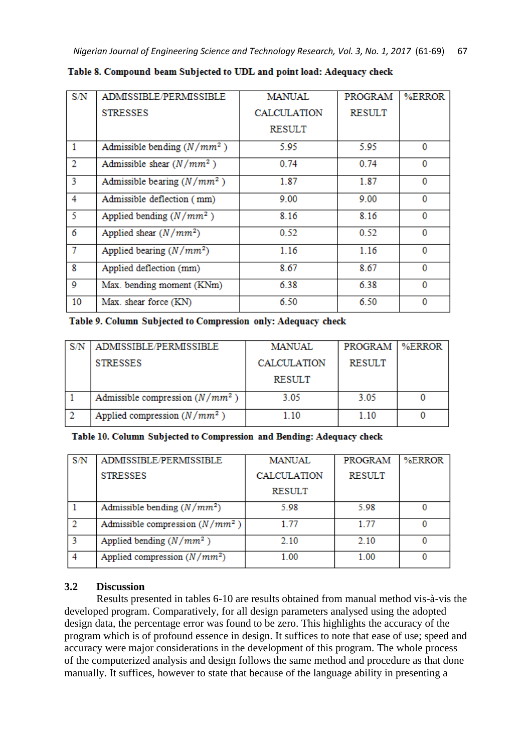| S/N            | ADMISSIBLE/PERMISSIBLE        | MANUAL      | <b>PROGRAM</b> | %ERROR |
|----------------|-------------------------------|-------------|----------------|--------|
|                | <b>STRESSES</b>               | CALCULATION | <b>RESULT</b>  |        |
|                |                               | RESULT      |                |        |
| 1              | Admissible bending $(N/mm^2)$ | 5.95        | 5.95           | 0      |
| 2              | Admissible shear $(N/mm^2)$   | 0.74        | 0.74           | 0      |
| 3              | Admissible bearing $(N/mm^2)$ | 1.87        | 1.87           | 0      |
| 4              | Admissible deflection (mm)    | 9.00        | 9.00           | 0      |
| -5             | Applied bending $(N/mm^2)$    | 8.16        | 8.16           | 0      |
| 6              | Applied shear $(N/mm^2)$      | 0.52        | 0.52           | 0      |
| $\overline{7}$ | Applied bearing $(N/mm^2)$    | 1.16        | 1.16           | 0      |
| 8              | Applied deflection (mm)       | 8.67        | 8.67           | 0      |
| Q              | Max. bending moment (KNm)     | 6.38        | 6.38           | 0      |
| 10             | Max. shear force (KN)         | 6.50        | 6.50           | 0      |

Table 8. Compound beam Subjected to UDL and point load: Adequacy check

## Table 9. Column Subjected to Compression only: Adequacy check

| ADMISSIBLE/PERMISSIBLE            | MANUAL             | PROGRAM | %ERROR |
|-----------------------------------|--------------------|---------|--------|
| <b>STRESSES</b>                   | <b>CALCULATION</b> | RESULT  |        |
|                                   | <b>RESULT</b>      |         |        |
| Admissible compression $(N/mm^2)$ | 3.05               | 3.05    |        |
| Applied compression $(N/mm^2)$    | 1 10               | 1.10    |        |

## Table 10. Column Subjected to Compression and Bending: Adequacy check

| S/N | ADMISSIBLE/PERMISSIBLE            | <b>MANUAL</b>      | PROGRAM       | %ERROR |
|-----|-----------------------------------|--------------------|---------------|--------|
|     | <b>STRESSES</b>                   | <b>CALCULATION</b> | <b>RESULT</b> |        |
|     |                                   | <b>RESULT</b>      |               |        |
|     | Admissible bending $(N/mm^2)$     | 5.98               | 5.98          |        |
|     | Admissible compression $(N/mm^2)$ | 177                | 1.77          |        |
|     | Applied bending $(N/mm^2)$        | 2.10               | 2.10          |        |
|     | Applied compression $(N/mm^2)$    | 1.00               | 1 00          |        |

## **3.2 Discussion**

Results presented in tables 6-10 are results obtained from manual method vis-à-vis the developed program. Comparatively, for all design parameters analysed using the adopted design data, the percentage error was found to be zero. This highlights the accuracy of the program which is of profound essence in design. It suffices to note that ease of use; speed and accuracy were major considerations in the development of this program. The whole process of the computerized analysis and design follows the same method and procedure as that done manually. It suffices, however to state that because of the language ability in presenting a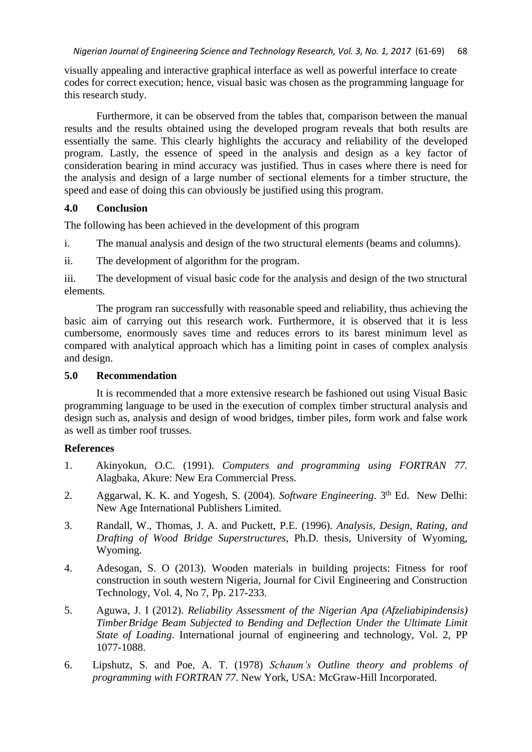visually appealing and interactive graphical interface as well as powerful interface to create codes for correct execution; hence, visual basic was chosen as the programming language for this research study.

Furthermore, it can be observed from the tables that, comparison between the manual results and the results obtained using the developed program reveals that both results are essentially the same. This clearly highlights the accuracy and reliability of the developed program. Lastly, the essence of speed in the analysis and design as a key factor of consideration bearing in mind accuracy was justified. Thus in cases where there is need for the analysis and design of a large number of sectional elements for a timber structure, the speed and ease of doing this can obviously be justified using this program.

## **4.0 Conclusion**

The following has been achieved in the development of this program

i. The manual analysis and design of the two structural elements (beams and columns).

ii. The development of algorithm for the program.

iii. The development of visual basic code for the analysis and design of the two structural elements.

The program ran successfully with reasonable speed and reliability, thus achieving the basic aim of carrying out this research work. Furthermore, it is observed that it is less cumbersome, enormously saves time and reduces errors to its barest minimum level as compared with analytical approach which has a limiting point in cases of complex analysis and design.

#### **5.0 Recommendation**

It is recommended that a more extensive research be fashioned out using Visual Basic programming language to be used in the execution of complex timber structural analysis and design such as, analysis and design of wood bridges, timber piles, form work and false work as well as timber roof trusses.

## **References**

- 1. Akinyokun, O.C. (1991). *Computers and programming using FORTRAN 77.* Alagbaka, Akure: New Era Commercial Press.
- 2. Aggarwal, K. K. and Yogesh, S. (2004). *Software Engineering*. <sup>3th</sup> Ed. New Delhi: New Age International Publishers Limited.
- 3. Randall, W., Thomas, J. A. and Puckett, P.E. (1996). *Analysis, Design, Rating, and Drafting of Wood Bridge Superstructures*, Ph.D. thesis, University of Wyoming, Wyoming.
- 4. Adesogan, S. O (2013). Wooden materials in building projects: Fitness for roof construction in south western Nigeria, Journal for Civil Engineering and Construction Technology, Vol. 4, No 7, Pp. 217-233.
- 5. Aguwa, J. I (2012). *Reliability Assessment of the Nigerian Apa (Afzeliabipindensis) TimberBridge Beam Subjected to Bending and Deflection Under the Ultimate Limit State of Loading*. International journal of engineering and technology, Vol. 2, PP 1077-1088.
- 6. Lipshutz, S. and Poe, A. T. (1978) *Schaum's Outline theory and problems of programming with FORTRAN 77*. New York, USA: McGraw-Hill Incorporated.